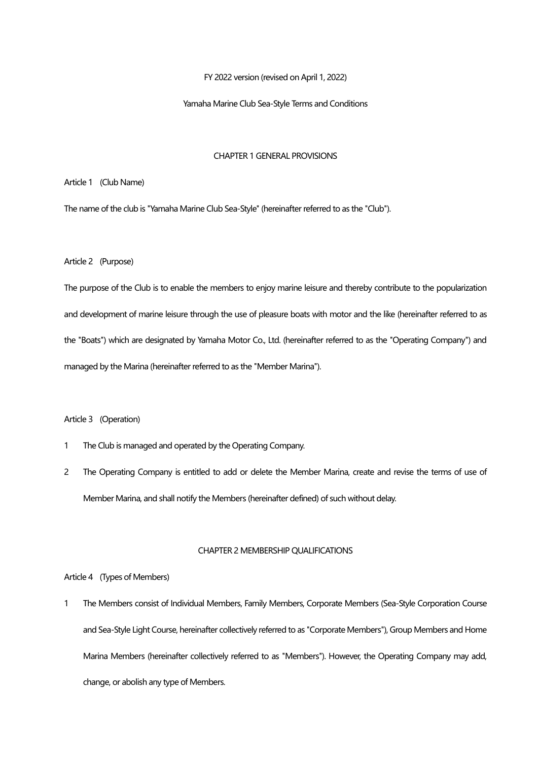FY 2022 version (revised on April 1, 2022)

#### Yamaha Marine Club Sea-Style Terms and Conditions

## CHAPTER 1 GENERAL PROVISIONS

Article 1 (Club Name)

The name of the club is "Yamaha Marine Club Sea-Style" (hereinafter referred to as the "Club").

Article 2 (Purpose)

The purpose of the Club is to enable the members to enjoy marine leisure and thereby contribute to the popularization and development of marine leisure through the use of pleasure boats with motor and the like (hereinafter referred to as the "Boats") which are designated by Yamaha Motor Co., Ltd. (hereinafter referred to as the "Operating Company") and managed by the Marina (hereinafter referred to as the "Member Marina").

# Article 3 (Operation)

- 1 The Club is managed and operated by the Operating Company.
- 2 The Operating Company is entitled to add or delete the Member Marina, create and revise the terms of use of Member Marina, and shall notify the Members (hereinafter defined) of such without delay.

#### CHAPTER 2 MEMBERSHIP QUALIFICATIONS

Article 4 (Types of Members)

1 The Members consist of Individual Members, Family Members, Corporate Members (Sea-Style Corporation Course and Sea-Style Light Course, hereinafter collectively referred to as "Corporate Members"), Group Members and Home Marina Members (hereinafter collectively referred to as "Members"). However, the Operating Company may add, change, or abolish any type of Members.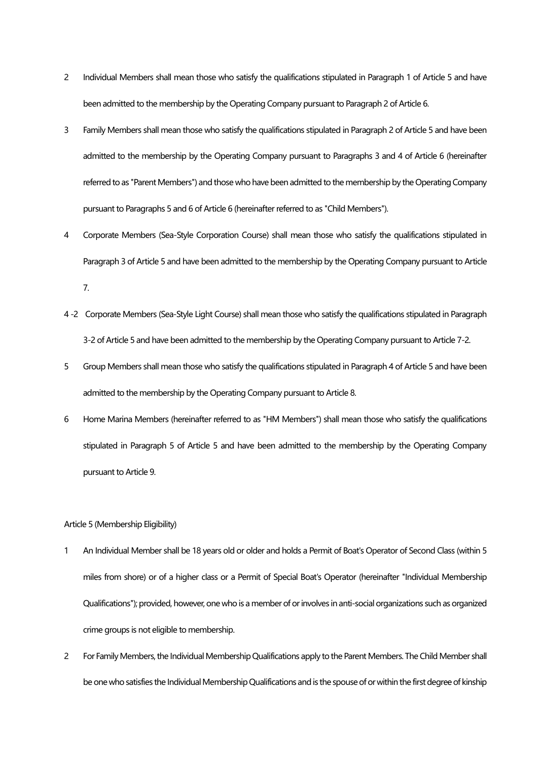- 2 Individual Members shall mean those who satisfy the qualifications stipulated in Paragraph 1 of Article 5 and have been admitted to the membership by the Operating Company pursuant to Paragraph 2 of Article 6.
- 3 Family Members shall mean those who satisfy the qualifications stipulated in Paragraph 2 of Article 5 and have been admitted to the membership by the Operating Company pursuant to Paragraphs 3 and 4 of Article 6 (hereinafter referred to as "Parent Members") and those who have been admitted to the membership by the Operating Company pursuant to Paragraphs 5 and 6 of Article 6 (hereinafter referred to as "Child Members").
- 4 Corporate Members (Sea-Style Corporation Course) shall mean those who satisfy the qualifications stipulated in Paragraph 3 of Article 5 and have been admitted to the membership by the Operating Company pursuant to Article 7.
- 4 -2 Corporate Members (Sea-Style Light Course) shall mean those who satisfy the qualifications stipulated in Paragraph 3-2 of Article 5 and have been admitted to the membership by the Operating Company pursuant to Article 7-2.
- 5 Group Members shall mean those who satisfy the qualifications stipulated in Paragraph 4 of Article 5 and have been admitted to the membership by the Operating Company pursuant to Article 8.
- 6 Home Marina Members (hereinafter referred to as "HM Members") shall mean those who satisfy the qualifications stipulated in Paragraph 5 of Article 5 and have been admitted to the membership by the Operating Company pursuant to Article 9.

## Article 5 (Membership Eligibility)

- 1 An Individual Member shall be 18 years old or older and holds a Permit of Boat's Operator of Second Class (within 5 miles from shore) or of a higher class or a Permit of Special Boat's Operator (hereinafter "Individual Membership Qualifications"); provided, however, one who is a member of or involves in anti-social organizations such as organized crime groups is not eligible to membership.
- 2 For Family Members, the Individual Membership Qualifications apply to the Parent Members. The Child Member shall be one who satisfies the Individual Membership Qualifications and is the spouse of or within the first degree of kinship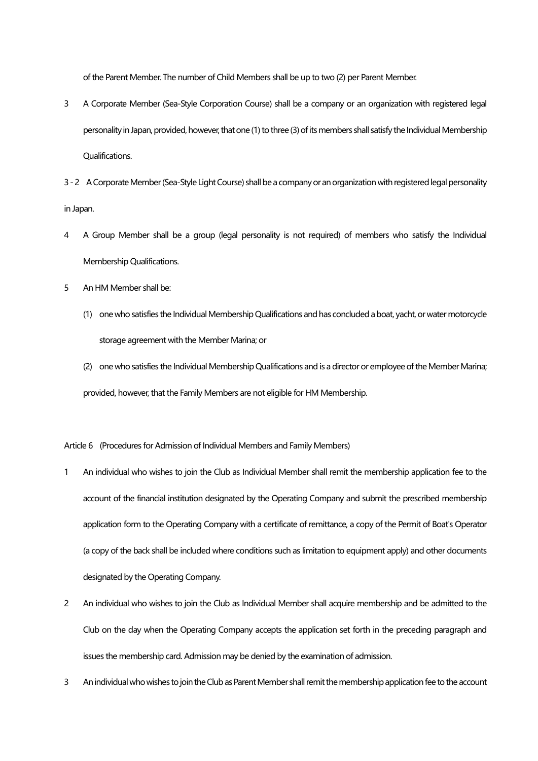of the Parent Member. The number of Child Members shall be up to two (2) per Parent Member.

- 3 A Corporate Member (Sea-Style Corporation Course) shall be a company or an organization with registered legal personality in Japan, provided, however, that one (1) to three (3) of its members shall satisfy the Individual Membership Qualifications.
- 3 2 A Corporate Member (Sea-Style Light Course) shall be a company or an organization with registered legal personality in Japan.
- 4 A Group Member shall be a group (legal personality is not required) of members who satisfy the Individual Membership Qualifications.
- 5 An HM Member shall be:
	- (1) one who satisfies the Individual Membership Qualifications and has concluded a boat, yacht, or water motorcycle storage agreement with the Member Marina; or
	- (2) one who satisfies the Individual Membership Qualifications and is a director or employee of theMember Marina; provided, however, that the Family Members are not eligible for HM Membership.

Article 6 (Procedures for Admission of Individual Members and Family Members)

- 1 An individual who wishes to join the Club as Individual Member shall remit the membership application fee to the account of the financial institution designated by the Operating Company and submit the prescribed membership application form to the Operating Company with a certificate of remittance, a copy of the Permit of Boat's Operator (a copy of the back shall be included where conditions such as limitation to equipment apply) and other documents designated by the Operating Company.
- 2 An individual who wishes to join the Club as Individual Member shall acquire membership and be admitted to the Club on the day when the Operating Company accepts the application set forth in the preceding paragraph and issues the membership card. Admission may be denied by the examination of admission.
- 3 An individual who wishes to join the Club as Parent Member shall remit the membership application fee to the account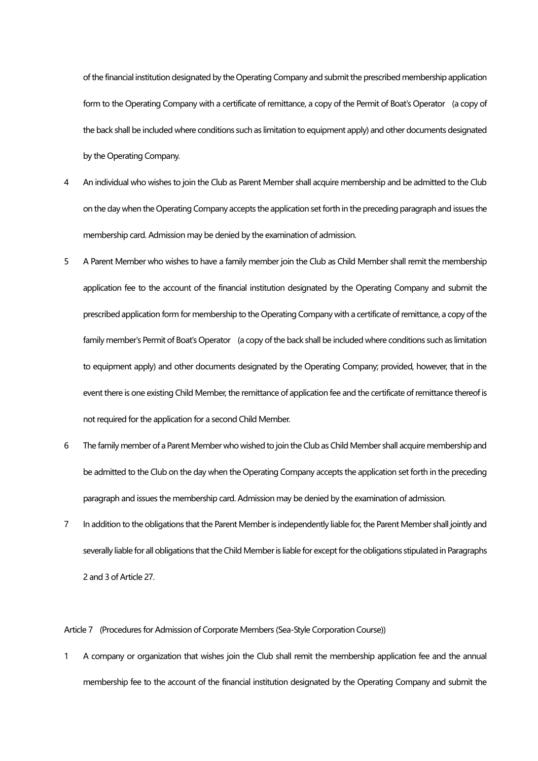of the financial institution designated by the Operating Company and submit the prescribed membership application form to the Operating Company with a certificate of remittance, a copy of the Permit of Boat's Operator (a copy of the back shall be included where conditions such as limitation to equipment apply) and other documents designated by the Operating Company.

- 4 An individual who wishes to join the Club as Parent Member shall acquire membership and be admitted to the Club on the day when the Operating Company accepts the application set forth in the preceding paragraph and issues the membership card. Admission may be denied by the examination of admission.
- 5 A Parent Member who wishes to have a family member join the Club as Child Member shall remit the membership application fee to the account of the financial institution designated by the Operating Company and submit the prescribed application form for membership to the Operating Company with a certificate of remittance, a copy of the family member's Permit of Boat's Operator (a copy of the back shall be included where conditions such as limitation to equipment apply) and other documents designated by the Operating Company; provided, however, that in the event there is one existing Child Member, the remittance of application fee and the certificate of remittance thereof is not required for the application for a second Child Member.
- 6 The family member of a Parent Member who wished to join the Club as Child Member shall acquire membership and be admitted to the Club on the day when the Operating Company accepts the application set forth in the preceding paragraph and issues the membership card. Admission may be denied by the examination of admission.
- 7 In addition to the obligations that the Parent Member is independently liable for, the Parent Member shall jointly and severally liable for all obligations that the Child Member is liable for except for the obligations stipulated in Paragraphs 2 and 3 of Article 27.

Article 7 (Procedures for Admission of Corporate Members (Sea-Style Corporation Course))

1 A company or organization that wishes join the Club shall remit the membership application fee and the annual membership fee to the account of the financial institution designated by the Operating Company and submit the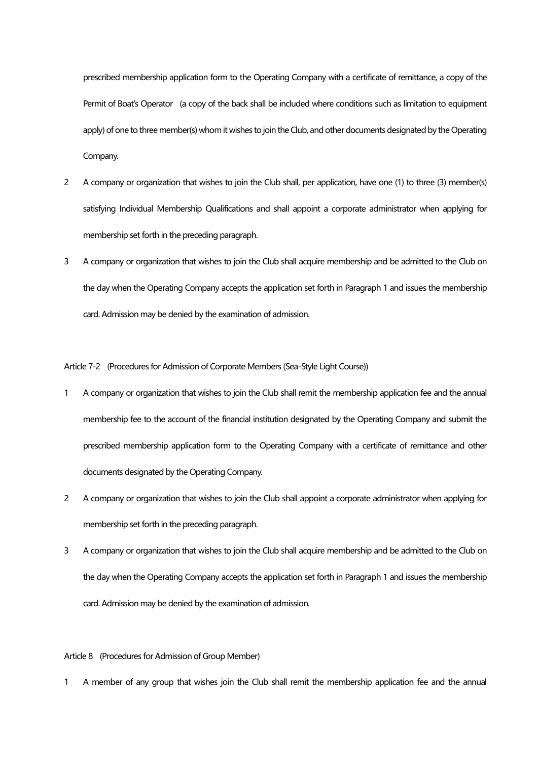prescribed membership application form to the Operating Company with a certificate of remittance, a copy of the Permit of Boat's Operator (a copy of the back shall be included where conditions such as limitation to equipment apply) of one to three member(s) whom it wishes to join the Club, and other documents designated by the Operating Company.

- 2 A company or organization that wishes to join the Club shall, per application, have one (1) to three (3) member(s) satisfying Individual Membership Qualifications and shall appoint a corporate administrator when applying for membership set forth in the preceding paragraph.
- 3 A company or organization that wishes to join the Club shall acquire membership and be admitted to the Club on the day when the Operating Company accepts the application set forth in Paragraph 1 and issues the membership card. Admission may be denied by the examination of admission.

Article 7-2 (Procedures for Admission of Corporate Members (Sea-Style Light Course))

- 1 A company or organization that wishes to join the Club shall remit the membership application fee and the annual membership fee to the account of the financial institution designated by the Operating Company and submit the prescribed membership application form to the Operating Company with a certificate of remittance and other documents designated by the Operating Company.
- 2 A company or organization that wishes to join the Club shall appoint a corporate administrator when applying for membership set forth in the preceding paragraph.
- 3 A company or organization that wishes to join the Club shall acquire membership and be admitted to the Club on the day when the Operating Company accepts the application set forth in Paragraph 1 and issues the membership card. Admission may be denied by the examination of admission.

## Article 8 (Procedures for Admission of Group Member)

1 A member of any group that wishes join the Club shall remit the membership application fee and the annual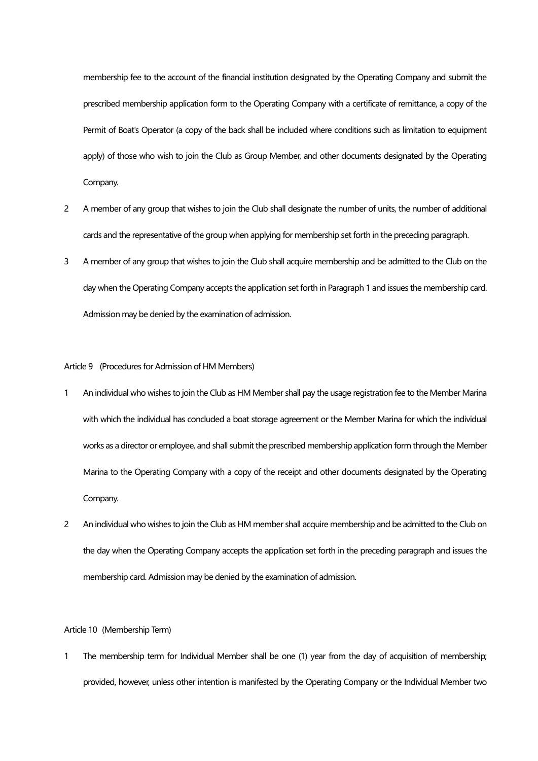membership fee to the account of the financial institution designated by the Operating Company and submit the prescribed membership application form to the Operating Company with a certificate of remittance, a copy of the Permit of Boat's Operator (a copy of the back shall be included where conditions such as limitation to equipment apply) of those who wish to join the Club as Group Member, and other documents designated by the Operating Company.

- 2 A member of any group that wishes to join the Club shall designate the number of units, the number of additional cards and the representative of the group when applying for membership set forth in the preceding paragraph.
- 3 A member of any group that wishes to join the Club shall acquire membership and be admitted to the Club on the day when the Operating Company accepts the application set forth in Paragraph 1 and issues the membership card. Admission may be denied by the examination of admission.

#### Article 9 (Procedures for Admission of HM Members)

- 1 An individual who wishes to join the Club as HM Member shall pay the usage registration fee to the Member Marina with which the individual has concluded a boat storage agreement or the Member Marina for which the individual works as a director or employee, and shall submit the prescribed membership application form through the Member Marina to the Operating Company with a copy of the receipt and other documents designated by the Operating Company.
- 2 An individual who wishes to join the Club as HM member shall acquire membership and be admitted to the Club on the day when the Operating Company accepts the application set forth in the preceding paragraph and issues the membership card. Admission may be denied by the examination of admission.

# Article 10 (Membership Term)

1 The membership term for Individual Member shall be one (1) year from the day of acquisition of membership; provided, however, unless other intention is manifested by the Operating Company or the Individual Member two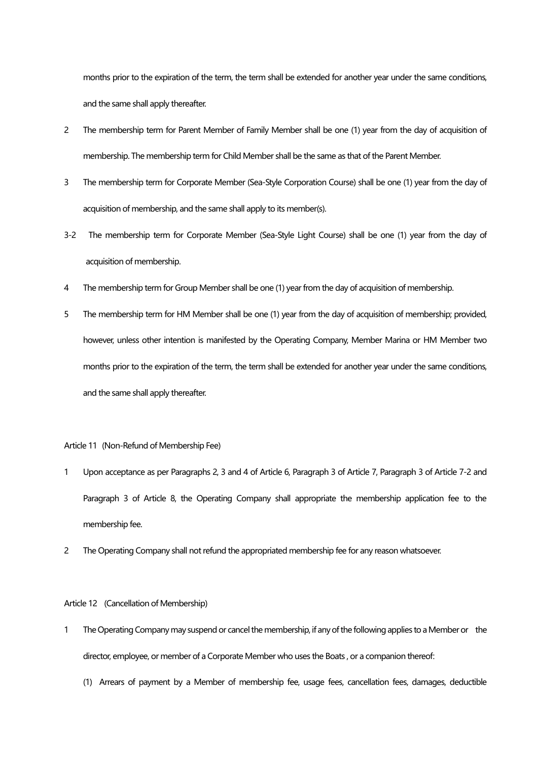months prior to the expiration of the term, the term shall be extended for another year under the same conditions, and the same shall apply thereafter.

- 2 The membership term for Parent Member of Family Member shall be one (1) year from the day of acquisition of membership. The membership term for Child Member shall be the same as that of the Parent Member.
- 3 The membership term for Corporate Member (Sea-Style Corporation Course) shall be one (1) year from the day of acquisition of membership, and the same shall apply to its member(s).
- 3-2 The membership term for Corporate Member (Sea-Style Light Course) shall be one (1) year from the day of acquisition of membership.
- 4 The membership term for Group Member shall be one (1) year from the day of acquisition of membership.
- 5 The membership term for HM Member shall be one (1) year from the day of acquisition of membership; provided, however, unless other intention is manifested by the Operating Company, Member Marina or HM Member two months prior to the expiration of the term, the term shall be extended for another year under the same conditions, and the same shall apply thereafter.

# Article 11 (Non-Refund of Membership Fee)

- 1 Upon acceptance as per Paragraphs 2, 3 and 4 of Article 6, Paragraph 3 of Article 7, Paragraph 3 of Article 7-2 and Paragraph 3 of Article 8, the Operating Company shall appropriate the membership application fee to the membership fee.
- 2 The Operating Company shall not refund the appropriated membership fee for any reason whatsoever.

## Article 12 (Cancellation of Membership)

- 1 The Operating Company may suspend or cancel the membership, if any of the following applies to a Member or the director, employee, or member of a Corporate Member who uses the Boats , or a companion thereof:
	- (1) Arrears of payment by a Member of membership fee, usage fees, cancellation fees, damages, deductible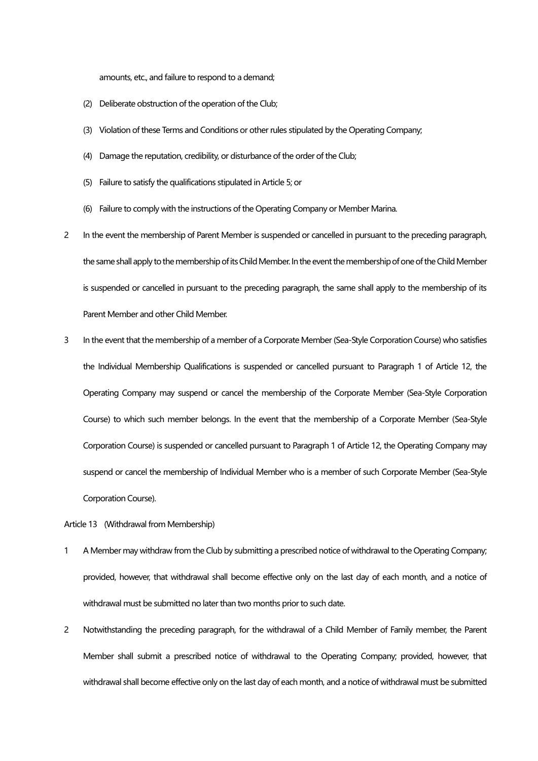amounts, etc., and failure to respond to a demand;

- (2) Deliberate obstruction of the operation of the Club;
- (3) Violation of these Terms and Conditions or other rules stipulated by the Operating Company;
- (4) Damage the reputation, credibility, or disturbance of the order of the Club;
- (5) Failure to satisfy the qualifications stipulated in Article 5; or
- (6) Failure to comply with the instructions of the Operating Company or Member Marina.
- 2 In the event the membership of Parent Member is suspended or cancelled in pursuant to the preceding paragraph, the same shall apply to the membership of its Child Member. In the event the membership of one of the Child Member is suspended or cancelled in pursuant to the preceding paragraph, the same shall apply to the membership of its Parent Member and other Child Member.
- 3 In the event that the membership of a member of a Corporate Member (Sea-Style Corporation Course) who satisfies the Individual Membership Qualifications is suspended or cancelled pursuant to Paragraph 1 of Article 12, the Operating Company may suspend or cancel the membership of the Corporate Member (Sea-Style Corporation Course) to which such member belongs. In the event that the membership of a Corporate Member (Sea-Style Corporation Course) is suspended or cancelled pursuant to Paragraph 1 of Article 12, the Operating Company may suspend or cancel the membership of Individual Member who is a member of such Corporate Member (Sea-Style Corporation Course).

Article 13 (Withdrawal from Membership)

- 1 A Member may withdraw from the Club by submitting a prescribed notice of withdrawal to the Operating Company; provided, however, that withdrawal shall become effective only on the last day of each month, and a notice of withdrawal must be submitted no later than two months prior to such date.
- 2 Notwithstanding the preceding paragraph, for the withdrawal of a Child Member of Family member, the Parent Member shall submit a prescribed notice of withdrawal to the Operating Company; provided, however, that withdrawal shall become effective only on the last day of each month, and a notice of withdrawal must be submitted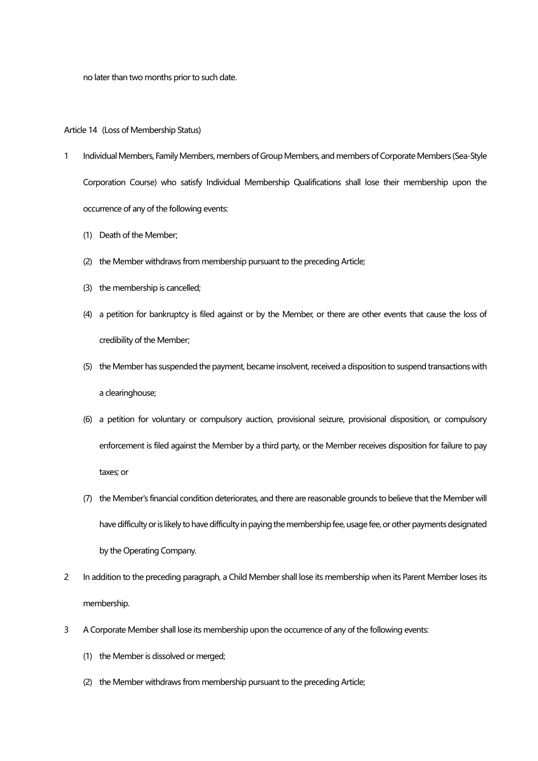no later than two months prior to such date.

## Article 14 (Loss of Membership Status)

- 1 Individual Members, Family Members, members of Group Members, and members of Corporate Members (Sea-Style Corporation Course) who satisfy Individual Membership Qualifications shall lose their membership upon the occurrence of any of the following events:
	- (1) Death of the Member;
	- (2) the Member withdraws from membership pursuant to the preceding Article;
	- (3) the membership is cancelled;
	- (4) a petition for bankruptcy is filed against or by the Member, or there are other events that cause the loss of credibility of the Member;
	- (5) the Member has suspended the payment, became insolvent, received a disposition to suspend transactions with a clearinghouse;
	- (6) a petition for voluntary or compulsory auction, provisional seizure, provisional disposition, or compulsory enforcement is filed against the Member by a third party, or the Member receives disposition for failure to pay taxes; or
	- (7) the Member's financial condition deteriorates, and there are reasonable grounds to believe that the Member will have difficulty or is likely to have difficulty in paying the membership fee, usage fee, or other payments designated by the Operating Company.
- 2 In addition to the preceding paragraph, a Child Member shall lose its membership when its Parent Member loses its membership.
- 3 A Corporate Member shall lose its membership upon the occurrence of any of the following events:
	- (1) the Member is dissolved or merged;
	- (2) the Member withdraws from membership pursuant to the preceding Article;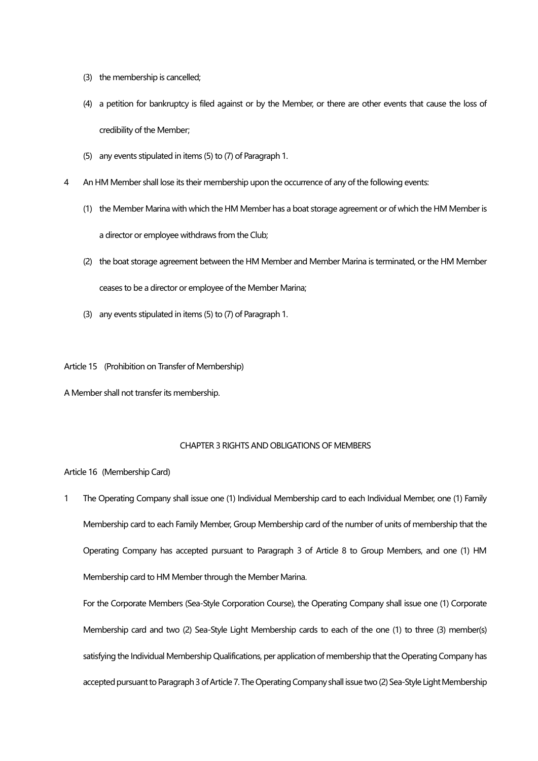- (3) the membership is cancelled;
- (4) a petition for bankruptcy is filed against or by the Member, or there are other events that cause the loss of credibility of the Member;
- (5) any events stipulated in items (5) to (7) of Paragraph 1.
- 4 An HM Member shall lose its their membership upon the occurrence of any of the following events:
	- (1) the Member Marina with which the HM Member has a boat storage agreement or of which the HM Member is a director or employee withdraws from the Club;
	- (2) the boat storage agreement between the HM Member and Member Marina is terminated, or the HM Member ceases to be a director or employee of the Member Marina;
	- (3) any events stipulated in items (5) to (7) of Paragraph 1.

Article 15 (Prohibition on Transfer of Membership)

A Member shall not transfer its membership.

# CHAPTER 3 RIGHTS AND OBLIGATIONS OF MEMBERS

## Article 16 (Membership Card)

1 The Operating Company shall issue one (1) Individual Membership card to each Individual Member, one (1) Family Membership card to each Family Member, Group Membership card of the number of units of membership that the Operating Company has accepted pursuant to Paragraph 3 of Article 8 to Group Members, and one (1) HM Membership card to HM Member through the Member Marina.

For the Corporate Members (Sea-Style Corporation Course), the Operating Company shall issue one (1) Corporate Membership card and two (2) Sea-Style Light Membership cards to each of the one (1) to three (3) member(s) satisfying the Individual Membership Qualifications, per application of membership that the Operating Company has accepted pursuant to Paragraph 3 of Article 7. The Operating Company shall issue two (2) Sea-StyleLight Membership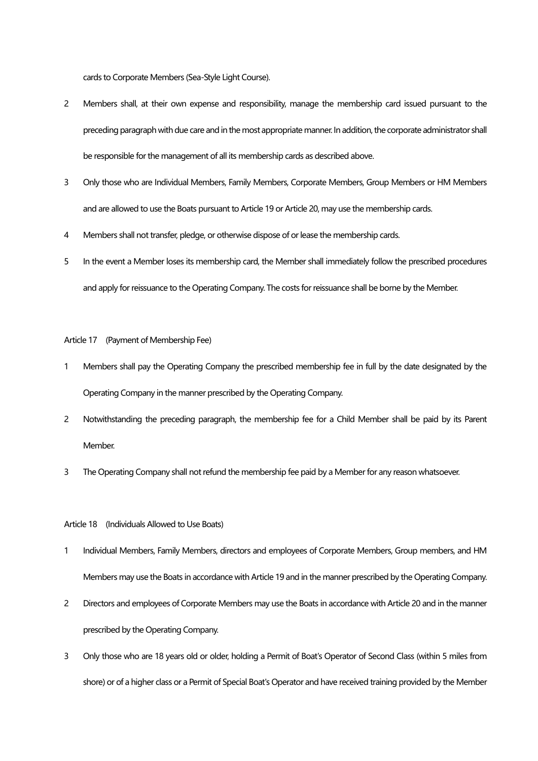cards to Corporate Members (Sea-Style Light Course).

- 2 Members shall, at their own expense and responsibility, manage the membership card issued pursuant to the preceding paragraph with due care and in the most appropriate manner. In addition, the corporate administrator shall be responsible for the management of all its membership cards as described above.
- 3 Only those who are Individual Members, Family Members, Corporate Members, Group Members or HM Members and are allowed to use the Boats pursuant to Article 19 or Article 20, may use the membership cards.
- 4 Members shall not transfer, pledge, or otherwise dispose of or lease the membership cards.
- 5 In the event a Member loses its membership card, the Member shall immediately follow the prescribed procedures and apply for reissuance to the Operating Company. The costs for reissuance shall be borne by the Member.

#### Article 17 (Payment of Membership Fee)

- 1 Members shall pay the Operating Company the prescribed membership fee in full by the date designated by the Operating Company in the manner prescribed by the Operating Company.
- 2 Notwithstanding the preceding paragraph, the membership fee for a Child Member shall be paid by its Parent Member.
- 3 The Operating Company shall not refund the membership fee paid by a Member for any reason whatsoever.

#### Article 18 (Individuals Allowed to Use Boats)

- 1 Individual Members, Family Members, directors and employees of Corporate Members, Group members, and HM Members may use the Boats in accordance with Article 19 and in the manner prescribed by the Operating Company.
- 2 Directors and employees of Corporate Members may use the Boats in accordance with Article 20 and in the manner prescribed by the Operating Company.
- 3 Only those who are 18 years old or older, holding a Permit of Boat's Operator of Second Class (within 5 miles from shore) or of a higher class or a Permit of Special Boat's Operator and have received training provided by the Member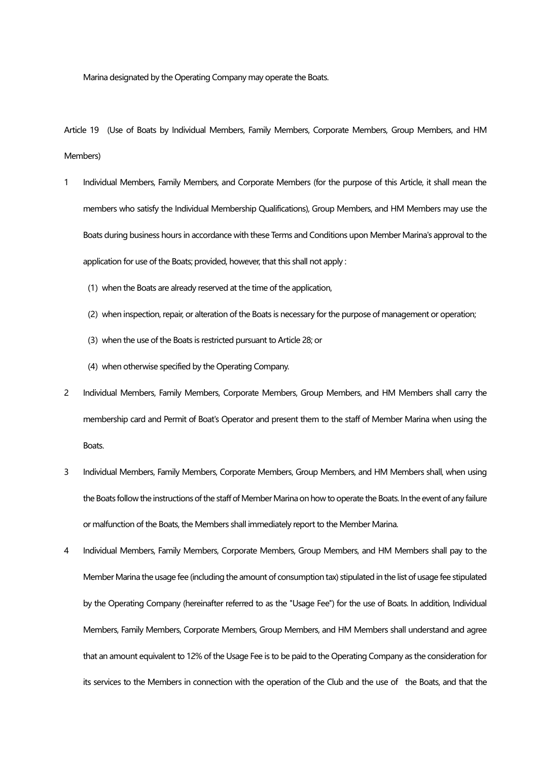Marina designated by the Operating Company may operate the Boats.

Article 19 (Use of Boats by Individual Members, Family Members, Corporate Members, Group Members, and HM Members)

- 1 Individual Members, Family Members, and Corporate Members (for the purpose of this Article, it shall mean the members who satisfy the Individual Membership Qualifications), Group Members, and HM Members may use the Boats during business hours in accordance with these Terms and Conditions upon Member Marina's approval to the application for use of the Boats; provided, however, that this shall not apply :
	- (1) when the Boats are already reserved at the time of the application,
	- (2) when inspection, repair, or alteration of the Boats is necessary for the purpose of management or operation;
	- (3) when the use of the Boats is restricted pursuant to Article 28; or
	- (4) when otherwise specified by the Operating Company.
- 2 Individual Members, Family Members, Corporate Members, Group Members, and HM Members shall carry the membership card and Permit of Boat's Operator and present them to the staff of Member Marina when using the Boats.
- 3 Individual Members, Family Members, Corporate Members, Group Members, and HM Members shall, when using the Boats follow the instructions of the staff of Member Marina on how to operate the Boats. In the event of any failure or malfunction of the Boats, the Members shall immediately report to the Member Marina.
- 4 Individual Members, Family Members, Corporate Members, Group Members, and HM Members shall pay to the Member Marina the usage fee (including the amount of consumption tax) stipulated in the list of usage fee stipulated by the Operating Company (hereinafter referred to as the "Usage Fee") for the use of Boats. In addition, Individual Members, Family Members, Corporate Members, Group Members, and HM Members shall understand and agree that an amount equivalent to 12% of the Usage Fee is to be paid to the Operating Company as the consideration for its services to the Members in connection with the operation of the Club and the use of the Boats, and that the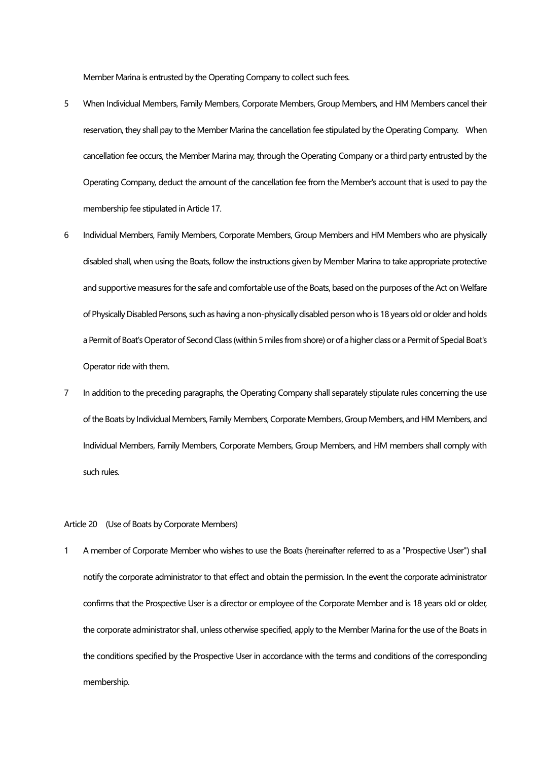Member Marina is entrusted by the Operating Company to collect such fees.

- 5 When Individual Members, Family Members, Corporate Members, Group Members, and HM Members cancel their reservation, they shall pay to the Member Marina the cancellation fee stipulated by the Operating Company. When cancellation fee occurs, the Member Marina may, through the Operating Company or a third party entrusted by the Operating Company, deduct the amount of the cancellation fee from the Member's account that is used to pay the membership fee stipulated in Article 17.
- 6 Individual Members, Family Members, Corporate Members, Group Members and HM Members who are physically disabled shall, when using the Boats, follow the instructions given by Member Marina to take appropriate protective and supportive measures for the safe and comfortable use of the Boats, based on the purposes of the Act on Welfare of Physically Disabled Persons, such as having a non-physically disabled person who is 18 years old or older and holds a Permit of Boat's Operator of Second Class (within 5 miles from shore) or of a higher class or a Permit of Special Boat's Operator ride with them.
- 7 In addition to the preceding paragraphs, the Operating Company shall separately stipulate rules concerning the use of the Boats by Individual Members, Family Members, Corporate Members, Group Members, and HM Members, and Individual Members, Family Members, Corporate Members, Group Members, and HM members shall comply with such rules.

#### Article 20 (Use of Boats by Corporate Members)

1 A member of Corporate Member who wishes to use the Boats (hereinafter referred to as a "Prospective User") shall notify the corporate administrator to that effect and obtain the permission. In the event the corporate administrator confirms that the Prospective User is a director or employee of the Corporate Member and is 18 years old or older, the corporate administrator shall, unless otherwise specified, apply to the Member Marina for the use of the Boats in the conditions specified by the Prospective User in accordance with the terms and conditions of the corresponding membership.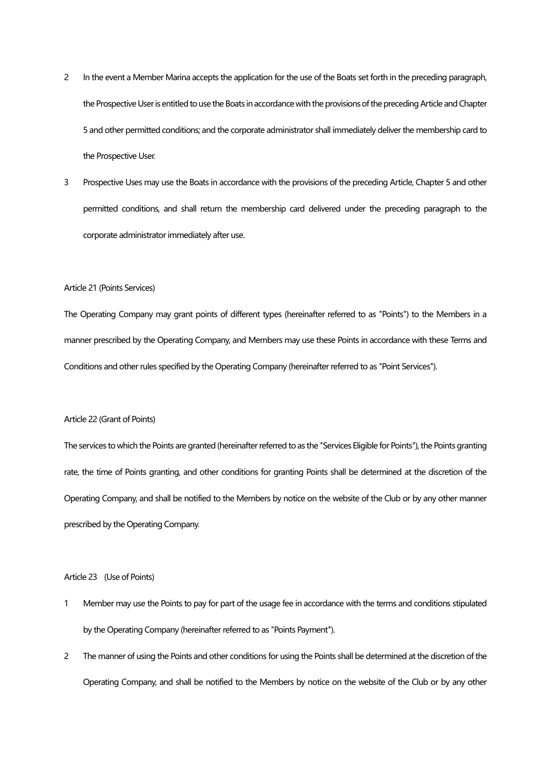- 2 In the event a Member Marina accepts the application for the use of the Boats set forth in the preceding paragraph, the Prospective User is entitled to use the Boats in accordance with the provisions of the preceding Article and Chapter 5 and other permitted conditions; and the corporate administrator shall immediately deliver the membership card to the Prospective User.
- 3 Prospective Uses may use the Boats in accordance with the provisions of the preceding Article, Chapter 5 and other permitted conditions, and shall return the membership card delivered under the preceding paragraph to the corporate administrator immediately after use.

## Article 21 (Points Services)

The Operating Company may grant points of different types (hereinafter referred to as "Points") to the Members in a manner prescribed by the Operating Company, and Members may use these Points in accordance with these Terms and Conditions and other rules specified by the Operating Company (hereinafter referred to as "Point Services").

## Article 22 (Grant of Points)

The services to which the Points are granted (hereinafter referred to as the "Services Eligible for Points"), the Points granting rate, the time of Points granting, and other conditions for granting Points shall be determined at the discretion of the Operating Company, and shall be notified to the Members by notice on the website of the Club or by any other manner prescribed by the Operating Company.

## Article 23 (Use of Points)

- 1 Member may use the Points to pay for part of the usage fee in accordance with the terms and conditions stipulated by the Operating Company (hereinafter referred to as "Points Payment").
- 2 The manner of using the Points and other conditions for using the Points shall be determined at the discretion of the Operating Company, and shall be notified to the Members by notice on the website of the Club or by any other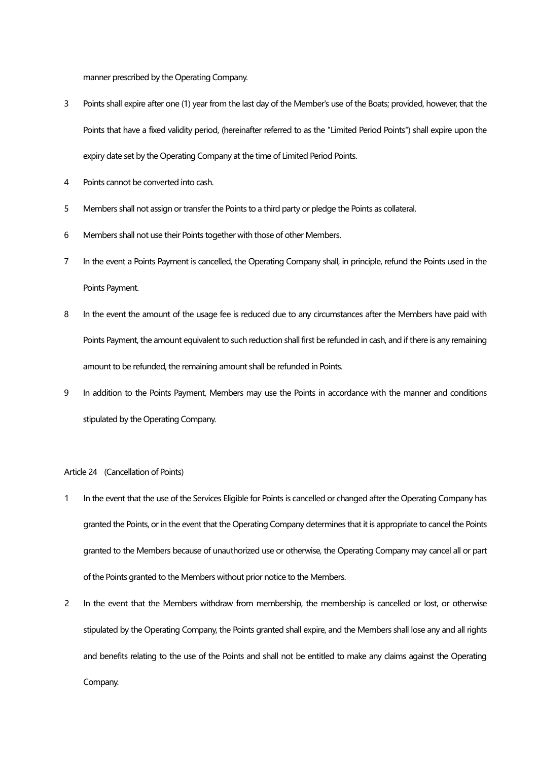manner prescribed by the Operating Company.

- 3 Points shall expire after one (1) year from the last day of the Member's use of the Boats; provided, however, that the Points that have a fixed validity period, (hereinafter referred to as the "Limited Period Points") shall expire upon the expiry date set by the Operating Company at the time of Limited Period Points.
- 4 Points cannot be converted into cash.
- 5 Members shall not assign or transfer the Points to a third party or pledge the Points as collateral.
- 6 Members shall not use their Points together with those of other Members.
- 7 In the event a Points Payment is cancelled, the Operating Company shall, in principle, refund the Points used in the Points Payment.
- 8 In the event the amount of the usage fee is reduced due to any circumstances after the Members have paid with Points Payment, the amount equivalent to such reduction shall first be refunded in cash, and if there is any remaining amount to be refunded, the remaining amount shall be refunded in Points.
- 9 In addition to the Points Payment, Members may use the Points in accordance with the manner and conditions stipulated by the Operating Company.

## Article 24 (Cancellation of Points)

- 1 In the event that the use of the Services Eligible for Points is cancelled or changed after the Operating Company has granted the Points, or in the event that the Operating Company determines that it is appropriate to cancel the Points granted to the Members because of unauthorized use or otherwise, the Operating Company may cancel all or part of the Points granted to the Members without prior notice to the Members.
- 2 In the event that the Members withdraw from membership, the membership is cancelled or lost, or otherwise stipulated by the Operating Company, the Points granted shall expire, and the Members shall lose any and all rights and benefits relating to the use of the Points and shall not be entitled to make any claims against the Operating Company.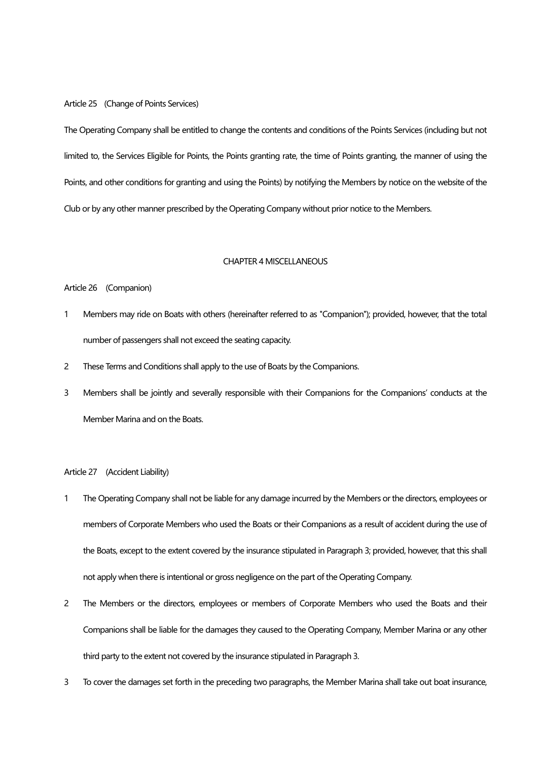#### Article 25 (Change of Points Services)

The Operating Company shall be entitled to change the contents and conditions of the Points Services (including but not limited to, the Services Eligible for Points, the Points granting rate, the time of Points granting, the manner of using the Points, and other conditions for granting and using the Points) by notifying the Members by notice on the website of the Club or by any other manner prescribed by the Operating Company without prior notice to the Members.

#### CHAPTER 4 MISCELLANEOUS

# Article 26 (Companion)

- 1 Members may ride on Boats with others (hereinafter referred to as "Companion"); provided, however, that the total number of passengers shall not exceed the seating capacity.
- 2 These Terms and Conditions shall apply to the use of Boats by the Companions.
- 3 Members shall be jointly and severally responsible with their Companions for the Companions' conducts at the Member Marina and on the Boats.

## Article 27 (Accident Liability)

- 1 The Operating Company shall not be liable for any damage incurred by the Members or the directors, employees or members of Corporate Members who used the Boats or their Companions as a result of accident during the use of the Boats, except to the extent covered by the insurance stipulated in Paragraph 3; provided, however, that this shall not apply when there is intentional or gross negligence on the part of the Operating Company.
- 2 The Members or the directors, employees or members of Corporate Members who used the Boats and their Companions shall be liable for the damages they caused to the Operating Company, Member Marina or any other third party to the extent not covered by the insurance stipulated in Paragraph 3.
- 3 To cover the damages set forth in the preceding two paragraphs, the Member Marina shall take out boat insurance,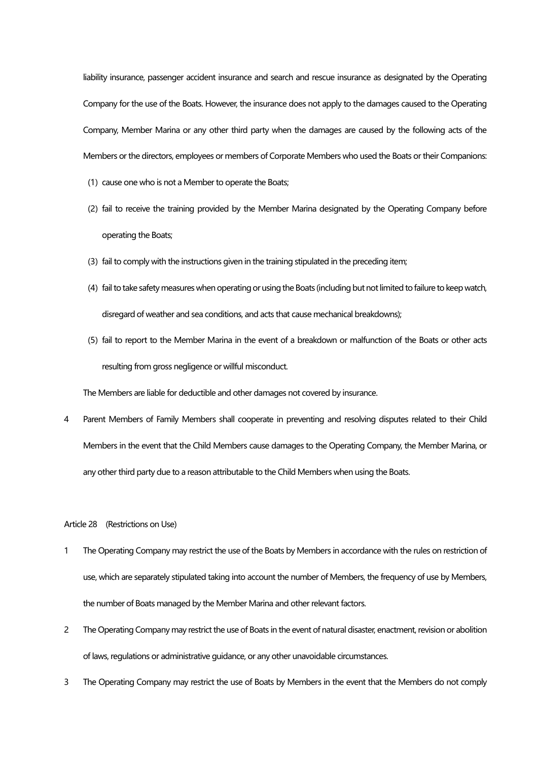liability insurance, passenger accident insurance and search and rescue insurance as designated by the Operating Company for the use of the Boats. However, the insurance does not apply to the damages caused to the Operating Company, Member Marina or any other third party when the damages are caused by the following acts of the Members or the directors, employees or members of Corporate Members who used the Boats or their Companions:

- (1) cause one who is not a Member to operate the Boats;
- (2) fail to receive the training provided by the Member Marina designated by the Operating Company before operating the Boats;
- (3) fail to comply with the instructions given in the training stipulated in the preceding item;
- (4) fail to take safety measures when operating or using the Boats (including but not limited to failure to keep watch, disregard of weather and sea conditions, and acts that cause mechanical breakdowns);
- (5) fail to report to the Member Marina in the event of a breakdown or malfunction of the Boats or other acts resulting from gross negligence or willful misconduct.

The Members are liable for deductible and other damages not covered by insurance.

4 Parent Members of Family Members shall cooperate in preventing and resolving disputes related to their Child Members in the event that the Child Members cause damages to the Operating Company, the Member Marina, or any other third party due to a reason attributable to the Child Members when using the Boats.

Article 28 (Restrictions on Use)

- 1 The Operating Company may restrict the use of the Boats by Members in accordance with the rules on restriction of use, which are separately stipulated taking into account the number of Members, the frequency of use by Members, the number of Boats managed by the Member Marina and other relevant factors.
- 2 The Operating Company may restrict the use of Boats in the event of natural disaster, enactment, revision or abolition of laws, regulations or administrative guidance, or any other unavoidable circumstances.
- 3 The Operating Company may restrict the use of Boats by Members in the event that the Members do not comply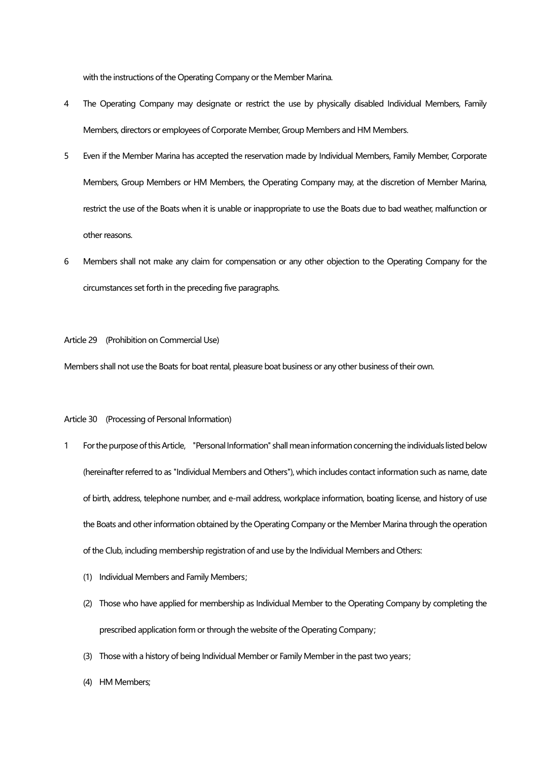with the instructions of the Operating Company or the Member Marina.

- 4 The Operating Company may designate or restrict the use by physically disabled Individual Members, Family Members, directors or employees of Corporate Member, Group Members and HM Members.
- 5 Even if the Member Marina has accepted the reservation made by Individual Members, Family Member, Corporate Members, Group Members or HM Members, the Operating Company may, at the discretion of Member Marina, restrict the use of the Boats when it is unable or inappropriate to use the Boats due to bad weather, malfunction or other reasons.
- 6 Members shall not make any claim for compensation or any other objection to the Operating Company for the circumstances set forth in the preceding five paragraphs.

Article 29 (Prohibition on Commercial Use)

Members shall not use the Boats for boat rental, pleasure boat business or any other business of their own.

#### Article 30 (Processing of Personal Information)

- 1 For the purpose of this Article, "Personal Information" shall mean information concerning the individuals listed below (hereinafter referred to as "Individual Members and Others"), which includes contact information such as name, date of birth, address, telephone number, and e-mail address, workplace information, boating license, and history of use the Boats and other information obtained by the Operating Company or the Member Marina through the operation of the Club, including membership registration of and use by the Individual Members and Others:
	- (1) Individual Members and Family Members;
	- (2) Those who have applied for membership as Individual Member to the Operating Company by completing the prescribed application form or through the website of the Operating Company;
	- (3) Those with a history of being Individual Member or Family Member in the past two years;
	- (4) HM Members;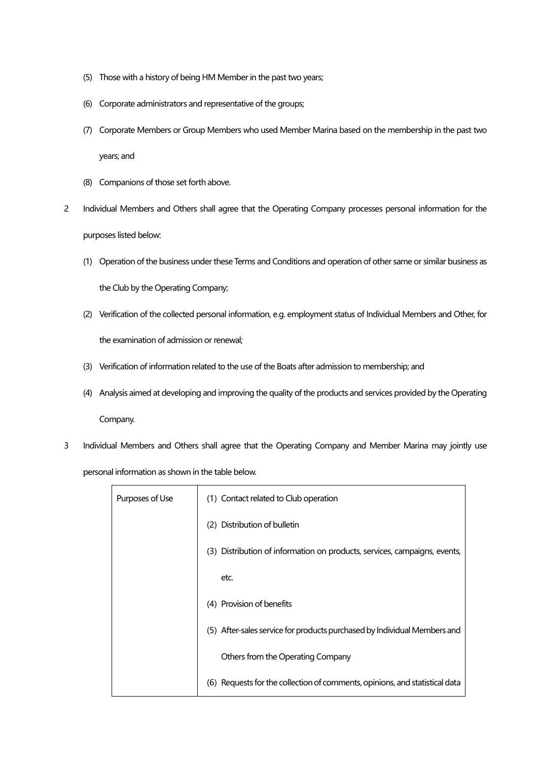- (5) Those with a history of being HM Member in the past two years;
- (6) Corporate administrators and representative of the groups;
- (7) Corporate Members or Group Members who used Member Marina based on the membership in the past two

years; and

- (8) Companions of those set forth above.
- 2 Individual Members and Others shall agree that the Operating Company processes personal information for the purposes listed below:
	- (1) Operation of the business under these Terms and Conditions and operation of other same or similar business as

the Club by the Operating Company;

- (2) Verification of the collected personal information, e.g. employment status of Individual Members and Other, for the examination of admission or renewal;
- (3) Verification of information related to the use of the Boats after admission to membership; and
- (4) Analysis aimed at developing and improving the quality of the products and services provided by the Operating Company.
- 3 Individual Members and Others shall agree that the Operating Company and Member Marina may jointly use personal information as shown in the table below.

| Purposes of Use | (1) Contact related to Club operation                                       |
|-----------------|-----------------------------------------------------------------------------|
|                 | (2) Distribution of bulletin                                                |
|                 | (3) Distribution of information on products, services, campaigns, events,   |
|                 | etc.                                                                        |
|                 | (4) Provision of benefits                                                   |
|                 | (5) After-sales service for products purchased by Individual Members and    |
|                 | Others from the Operating Company                                           |
|                 | (6) Requests for the collection of comments, opinions, and statistical data |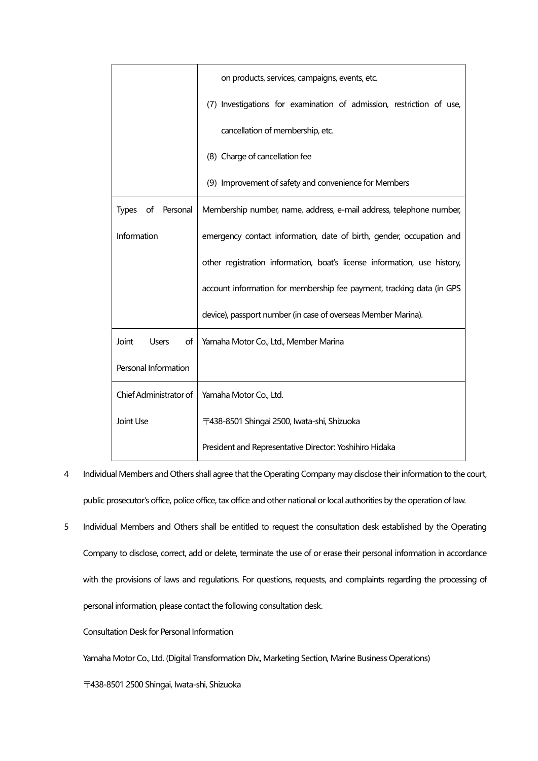|                                | on products, services, campaigns, events, etc.                           |
|--------------------------------|--------------------------------------------------------------------------|
|                                | (7) Investigations for examination of admission, restriction of use,     |
|                                | cancellation of membership, etc.                                         |
|                                | (8) Charge of cancellation fee                                           |
|                                | (9) Improvement of safety and convenience for Members                    |
| <b>Types</b><br>of<br>Personal | Membership number, name, address, e-mail address, telephone number,      |
| Information                    | emergency contact information, date of birth, gender, occupation and     |
|                                | other registration information, boat's license information, use history, |
|                                | account information for membership fee payment, tracking data (in GPS    |
|                                | device), passport number (in case of overseas Member Marina).            |
| Joint<br><b>Users</b><br>of    | Yamaha Motor Co., Ltd., Member Marina                                    |
| Personal Information           |                                                                          |
| Chief Administrator of         | Yamaha Motor Co., Ltd.                                                   |
| Joint Use                      | 〒438-8501 Shingai 2500, Iwata-shi, Shizuoka                              |
|                                | President and Representative Director: Yoshihiro Hidaka                  |

- 4 Individual Members and Others shall agree that the Operating Company may disclose their information to the court, public prosecutor's office, police office, tax office and other national or local authorities by the operation of law.
- 5 Individual Members and Others shall be entitled to request the consultation desk established by the Operating Company to disclose, correct, add or delete, terminate the use of or erase their personal information in accordance with the provisions of laws and regulations. For questions, requests, and complaints regarding the processing of personal information, please contact the following consultation desk.

Consultation Desk for Personal Information

Yamaha Motor Co., Ltd. (Digital Transformation Div., Marketing Section, Marine Business Operations)

〒438-8501 2500 Shingai, Iwata-shi, Shizuoka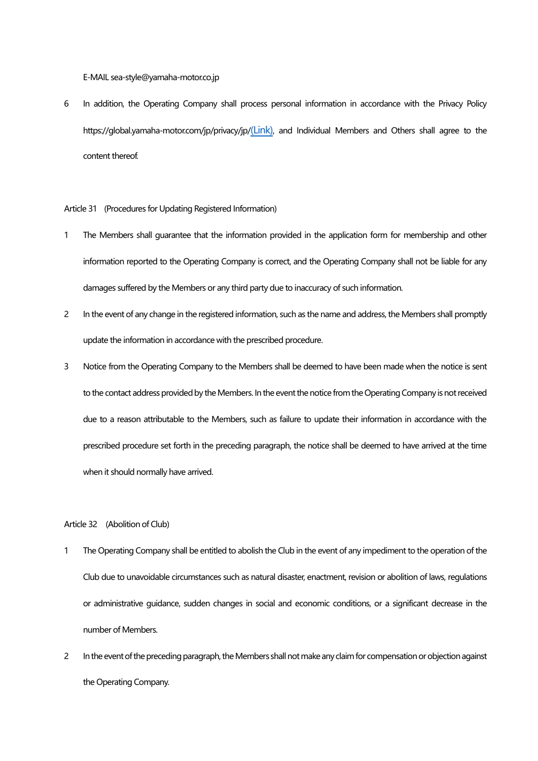E-MAIL sea-style@yamaha-motor.co.jp

6 In addition, the Operating Company shall process personal information in accordance with the Privacy Policy https://global.yamaha-motor.com/jp/privacy/jp/[\(Link\)](https://global.yamaha-motor.com/jp/privacy/jp/), and Individual Members and Others shall agree to the content thereof.

Article 31 (Procedures for Updating Registered Information)

- 1 The Members shall guarantee that the information provided in the application form for membership and other information reported to the Operating Company is correct, and the Operating Company shall not be liable for any damages suffered by the Members or any third party due to inaccuracy of such information.
- 2 In the event of any change in the registered information, such as the name and address, the Members shall promptly update the information in accordance with the prescribed procedure.
- 3 Notice from the Operating Company to the Members shall be deemed to have been made when the notice is sent to the contact address provided by the Members. In the event the notice from the Operating Company is not received due to a reason attributable to the Members, such as failure to update their information in accordance with the prescribed procedure set forth in the preceding paragraph, the notice shall be deemed to have arrived at the time when it should normally have arrived.

Article 32 (Abolition of Club)

- 1 The Operating Company shall be entitled to abolish the Club in the event of any impediment to the operation of the Club due to unavoidable circumstances such as natural disaster, enactment, revision or abolition of laws, regulations or administrative guidance, sudden changes in social and economic conditions, or a significant decrease in the number of Members.
- 2 In the event of the preceding paragraph, the Members shall not make any claim for compensation or objection against the Operating Company.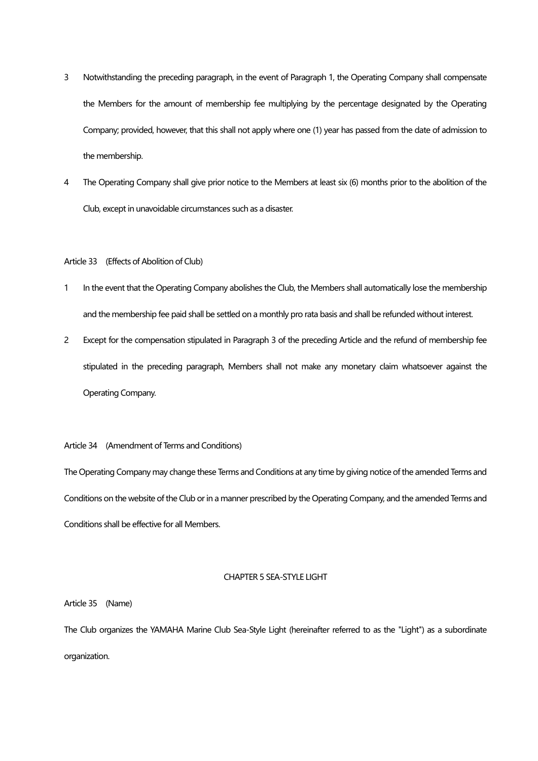- 3 Notwithstanding the preceding paragraph, in the event of Paragraph 1, the Operating Company shall compensate the Members for the amount of membership fee multiplying by the percentage designated by the Operating Company; provided, however, that this shall not apply where one (1) year has passed from the date of admission to the membership.
- 4 The Operating Company shall give prior notice to the Members at least six (6) months prior to the abolition of the Club, except in unavoidable circumstances such as a disaster.

## Article 33 (Effects of Abolition of Club)

- 1 In the event that the Operating Company abolishes the Club, the Members shall automatically lose the membership and the membership fee paid shall be settled on a monthly pro rata basis and shall be refunded without interest.
- 2 Except for the compensation stipulated in Paragraph 3 of the preceding Article and the refund of membership fee stipulated in the preceding paragraph, Members shall not make any monetary claim whatsoever against the Operating Company.

## Article 34 (Amendment of Terms and Conditions)

The Operating Company may change these Terms and Conditions at any time by giving notice of the amended Terms and Conditions on the website of the Club or in a manner prescribed by the Operating Company, and the amended Terms and Conditions shall be effective for all Members.

#### CHAPTER 5 SEA-STYLE LIGHT

Article 35 (Name)

The Club organizes the YAMAHA Marine Club Sea-Style Light (hereinafter referred to as the "Light") as a subordinate organization.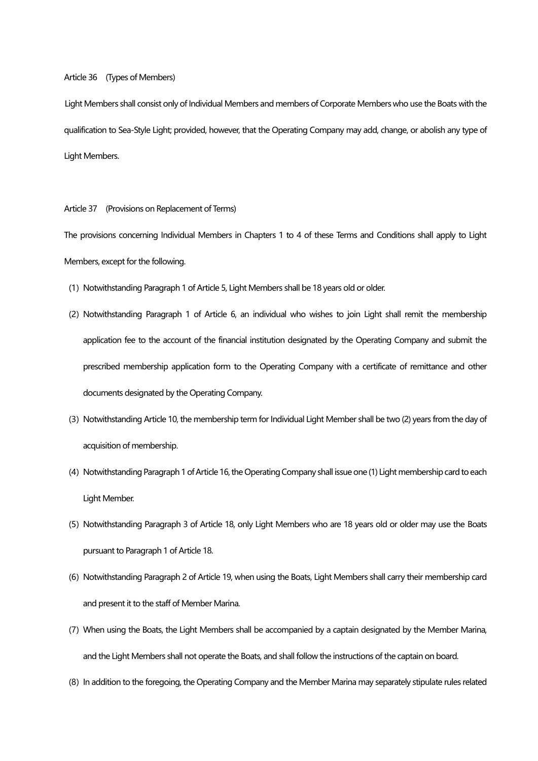## Article 36 (Types of Members)

Light Members shall consist only of Individual Members and members of Corporate Members who use the Boats with the qualification to Sea-Style Light; provided, however, that the Operating Company may add, change, or abolish any type of Light Members.

Article 37 (Provisions on Replacement of Terms)

The provisions concerning Individual Members in Chapters 1 to 4 of these Terms and Conditions shall apply to Light Members, except for the following.

- (1) Notwithstanding Paragraph 1 of Article 5, Light Members shall be 18 years old or older.
- (2) Notwithstanding Paragraph 1 of Article 6, an individual who wishes to join Light shall remit the membership application fee to the account of the financial institution designated by the Operating Company and submit the prescribed membership application form to the Operating Company with a certificate of remittance and other documents designated by the Operating Company.
- (3) Notwithstanding Article 10, the membership term for Individual Light Member shall be two (2) years from the day of acquisition of membership.
- (4) Notwithstanding Paragraph 1 of Article 16, the Operating Company shall issue one (1) Light membership card to each Light Member.
- (5) Notwithstanding Paragraph 3 of Article 18, only Light Members who are 18 years old or older may use the Boats pursuant to Paragraph 1 of Article 18.
- (6) Notwithstanding Paragraph 2 of Article 19, when using the Boats, Light Members shall carry their membership card and present it to the staff of Member Marina.
- (7)When using the Boats, the Light Members shall be accompanied by a captain designated by the Member Marina, and the Light Members shall not operate the Boats, and shall follow the instructions of the captain on board.
- (8) In addition to the foregoing, the Operating Company and the Member Marina may separately stipulate rules related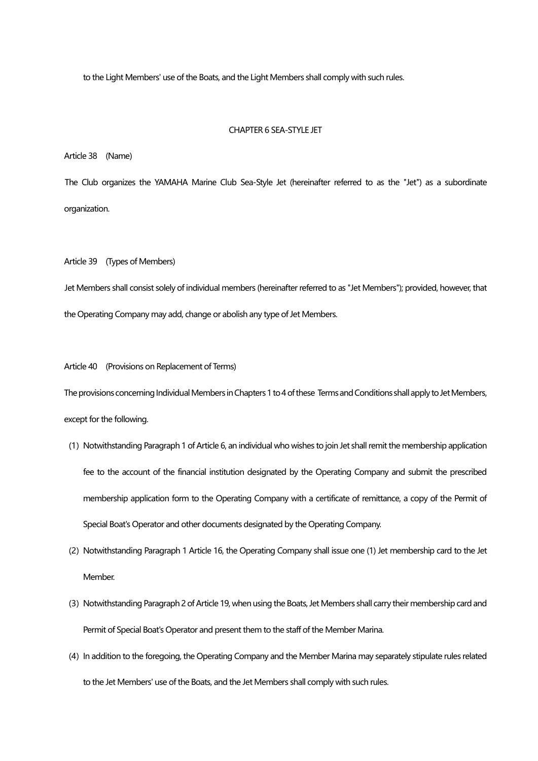to the Light Members' use of the Boats, and the Light Members shall comply with such rules.

### CHAPTER 6 SEA-STYLE JET

Article 38 (Name)

The Club organizes the YAMAHA Marine Club Sea-Style Jet (hereinafter referred to as the "Jet") as a subordinate organization.

#### Article 39 (Types of Members)

Jet Members shall consist solely of individual members (hereinafter referred to as "Jet Members"); provided, however, that the Operating Company may add, change or abolish any type of Jet Members.

#### Article 40 (Provisions on Replacement of Terms)

The provisions concerning Individual Members in Chapters 1 to 4 of these Terms and Conditions shall apply to Jet Members, except for the following.

- (1) Notwithstanding Paragraph 1 of Article 6, an individual who wishes to join Jet shall remit the membership application fee to the account of the financial institution designated by the Operating Company and submit the prescribed membership application form to the Operating Company with a certificate of remittance, a copy of the Permit of Special Boat's Operator and other documents designated by the Operating Company.
- (2) Notwithstanding Paragraph 1 Article 16, the Operating Company shall issue one (1) Jet membership card to the Jet Member.
- (3) Notwithstanding Paragraph 2 of Article 19, when using the Boats, Jet Members shall carry their membership card and Permit of Special Boat's Operator and present them to the staff of the Member Marina.
- (4) In addition to the foregoing, the Operating Company and the Member Marina may separately stipulate rules related to the Jet Members' use of the Boats, and the Jet Members shall comply with such rules.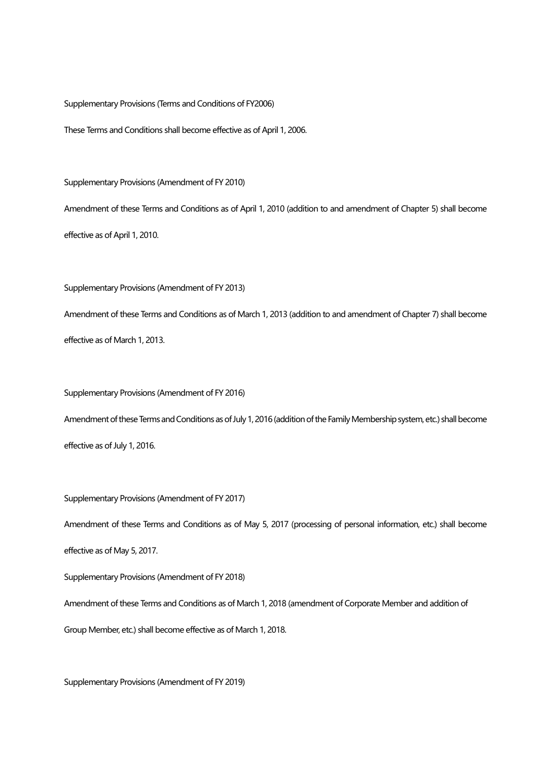Supplementary Provisions (Terms and Conditions of FY2006)

These Terms and Conditions shall become effective as of April 1, 2006.

Supplementary Provisions (Amendment of FY 2010)

Amendment of these Terms and Conditions as of April 1, 2010 (addition to and amendment of Chapter 5) shall become

effective as of April 1, 2010.

Supplementary Provisions (Amendment of FY 2013)

Amendment of these Terms and Conditions as of March 1, 2013 (addition to and amendment of Chapter 7) shall become effective as of March 1, 2013.

Supplementary Provisions (Amendment of FY 2016)

Amendment of these Terms and Conditions as of July 1, 2016 (addition of the Family Membership system, etc.) shall become effective as of July 1, 2016.

Supplementary Provisions (Amendment of FY 2017)

Amendment of these Terms and Conditions as of May 5, 2017 (processing of personal information, etc.) shall become effective as of May 5, 2017.

Supplementary Provisions (Amendment of FY 2018)

Amendment of these Terms and Conditions as of March 1, 2018 (amendment of Corporate Member and addition of

Group Member, etc.) shall become effective as of March 1, 2018.

Supplementary Provisions (Amendment of FY 2019)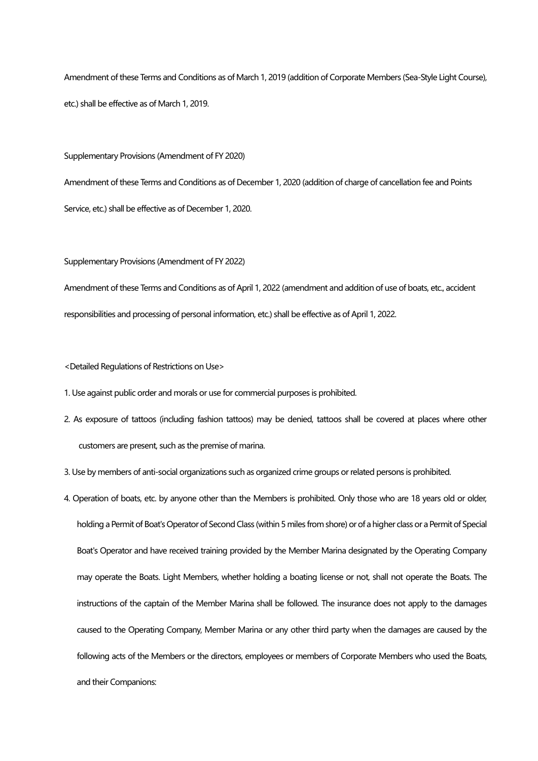Amendment of these Terms and Conditions as of March 1, 2019 (addition of Corporate Members (Sea-Style Light Course), etc.) shall be effective as of March 1, 2019.

Supplementary Provisions (Amendment of FY 2020)

Amendment of these Terms and Conditions as of December 1, 2020 (addition of charge of cancellation fee and Points Service, etc.) shall be effective as of December 1, 2020.

Supplementary Provisions (Amendment of FY 2022)

Amendment of these Terms and Conditions as of April 1, 2022 (amendment and addition of use of boats, etc., accident responsibilities and processing of personal information, etc.) shall be effective as of April 1, 2022.

<Detailed Regulations of Restrictions on Use>

1. Use against public order and morals or use for commercial purposes is prohibited.

2. As exposure of tattoos (including fashion tattoos) may be denied, tattoos shall be covered at places where other customers are present, such as the premise of marina.

3. Use by members of anti-social organizations such as organized crime groups or related persons is prohibited.

4. Operation of boats, etc. by anyone other than the Members is prohibited. Only those who are 18 years old or older, holding a Permit of Boat's Operator of Second Class (within 5 miles from shore) or of a higher class or a Permit of Special Boat's Operator and have received training provided by the Member Marina designated by the Operating Company may operate the Boats. Light Members, whether holding a boating license or not, shall not operate the Boats. The instructions of the captain of the Member Marina shall be followed. The insurance does not apply to the damages caused to the Operating Company, Member Marina or any other third party when the damages are caused by the following acts of the Members or the directors, employees or members of Corporate Members who used the Boats, and their Companions: